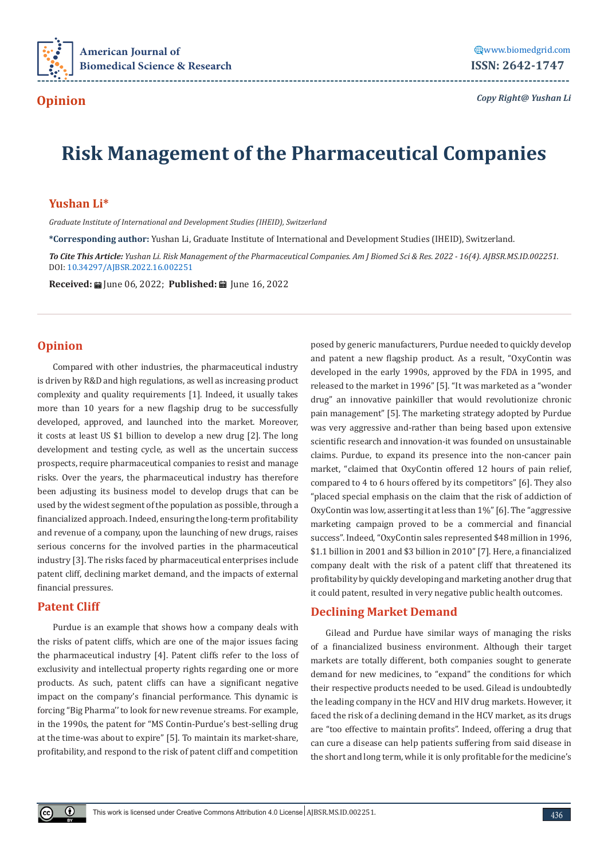

*Copy Right@ Yushan Li*

# **Risk Management of the Pharmaceutical Companies**

## **Yushan Li\***

*Graduate Institute of International and Development Studies (IHEID), Switzerland*

**\*Corresponding author:** Yushan Li, Graduate Institute of International and Development Studies (IHEID), Switzerland.

*To Cite This Article: Yushan Li. Risk Management of the Pharmaceutical Companies. Am J Biomed Sci & Res. 2022 - 16(4). AJBSR.MS.ID.002251.*  DOI: [10.34297/AJBSR.2022.16.002251](http://dx.doi.org/10.34297/AJBSR.2022.16.002251)

Received: **a** June 06, 2022; Published: **a** June 16, 2022

## **Opinion**

Compared with other industries, the pharmaceutical industry is driven by R&D and high regulations, as well as increasing product complexity and quality requirements [1]. Indeed, it usually takes more than 10 years for a new flagship drug to be successfully developed, approved, and launched into the market. Moreover, it costs at least US \$1 billion to develop a new drug [2]. The long development and testing cycle, as well as the uncertain success prospects, require pharmaceutical companies to resist and manage risks. Over the years, the pharmaceutical industry has therefore been adjusting its business model to develop drugs that can be used by the widest segment of the population as possible, through a financialized approach. Indeed, ensuring the long-term profitability and revenue of a company, upon the launching of new drugs, raises serious concerns for the involved parties in the pharmaceutical industry [3]. The risks faced by pharmaceutical enterprises include patent cliff, declining market demand, and the impacts of external financial pressures.

### **Patent Cliff**

Purdue is an example that shows how a company deals with the risks of patent cliffs, which are one of the major issues facing the pharmaceutical industry [4]. Patent cliffs refer to the loss of exclusivity and intellectual property rights regarding one or more products. As such, patent cliffs can have a significant negative impact on the company's financial performance. This dynamic is forcing "Big Pharma'' to look for new revenue streams. For example, in the 1990s, the patent for "MS Contin-Purdue's best-selling drug at the time-was about to expire" [5]. To maintain its market-share, profitability, and respond to the risk of patent cliff and competition

posed by generic manufacturers, Purdue needed to quickly develop and patent a new flagship product. As a result, "OxyContin was developed in the early 1990s, approved by the FDA in 1995, and released to the market in 1996" [5]. "It was marketed as a "wonder drug" an innovative painkiller that would revolutionize chronic pain management" [5]. The marketing strategy adopted by Purdue was very aggressive and-rather than being based upon extensive scientific research and innovation-it was founded on unsustainable claims. Purdue, to expand its presence into the non-cancer pain market, "claimed that OxyContin offered 12 hours of pain relief, compared to 4 to 6 hours offered by its competitors" [6]. They also "placed special emphasis on the claim that the risk of addiction of OxyContin was low, asserting it at less than 1%" [6]. The "aggressive marketing campaign proved to be a commercial and financial success". Indeed, "OxyContin sales represented \$48 million in 1996, \$1.1 billion in 2001 and \$3 billion in 2010" [7]. Here, a financialized company dealt with the risk of a patent cliff that threatened its profitability by quickly developing and marketing another drug that it could patent, resulted in very negative public health outcomes.

## **Declining Market Demand**

Gilead and Purdue have similar ways of managing the risks of a financialized business environment. Although their target markets are totally different, both companies sought to generate demand for new medicines, to "expand" the conditions for which their respective products needed to be used. Gilead is undoubtedly the leading company in the HCV and HIV drug markets. However, it faced the risk of a declining demand in the HCV market, as its drugs are "too effective to maintain profits". Indeed, offering a drug that can cure a disease can help patients suffering from said disease in the short and long term, while it is only profitable for the medicine's